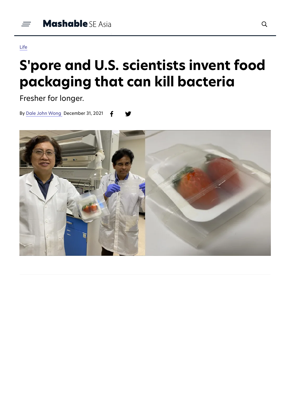## [Life](https://sea.mashable.com/life)

## **S'pore and U.S. scientists invent food packaging that can kill bacteria**

Fresher for longer.

By Dale John [Wong](https://sea.mashable.com/u/dale-john-wong) December 31, 2021

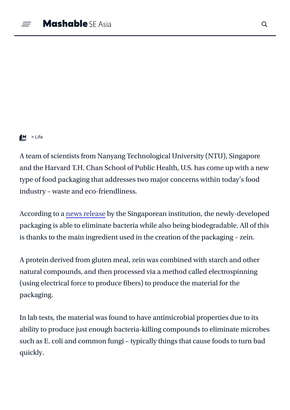

A team of scientists from Nanyang Technological University (NTU), Singapore and the Harvard T.H. Chan School of Public Health, U.S. has come up with a new type of food packaging that addresses two major concerns within today's food industry – waste and eco-friendliness.

According to a news [release](https://www.ntu.edu.sg/docs/default-source/corporate-ntu/hub-news/ntu-and-harvard-scientists-develop-sustainable-food-packaging-that-kills-harmful-microbesdaf6e3a8-07bf-4ccd-b360-c34fac7f0b6b.pdf?sfvrsn=262d8380_1) by the Singaporean institution, the newly-developed packaging is able to eliminate bacteria while also being biodegradable. All of this is thanks to the main ingredient used in the creation of the packaging – zein.

A protein derived from gluten meal, zein was combined with starch and other natural compounds, and then processed via a method called electrospinning (using electrical force to produce fibers) to produce the material for the packaging.

In lab tests, the material was found to have antimicrobial properties due to its ability to produce just enough bacteria-killing compounds to eliminate microbes such as E. coli and common fungi – typically things that cause foods to turn bad quickly.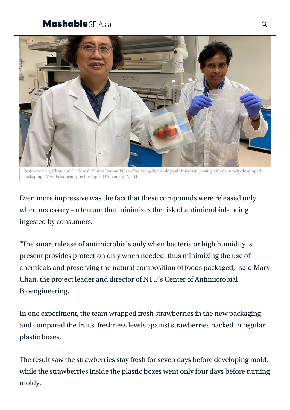## **Mashable** SF Asia



Professor Mary Chan and Dr. Suresh Kumar Raman Pillai of Nanyang Technological University posing with the newly-developed packaging. IMAGE: Nanyang Technological University (NTU)

Even more impressive was the fact that these compounds were released only when necessary – a feature that minimizes the risk of antimicrobials being ingested by consumers.

"The smart release of antimicrobials only when bacteria or high humidity is present provides protection only when needed, thus minimizing the use of chemicals and preserving the natural composition of foods packaged," said Mary Chan, the project leader and director of NTU's Center of Antimicrobial Bioengineering.

In one experiment, the team wrapped fresh strawberries in the new packaging and compared the fruits' freshness levels against strawberries packed in regular plastic boxes.

The result saw the strawberries stay fresh for seven days before developing mold, while the strawberries inside the plastic boxes went only four days before turning moldy.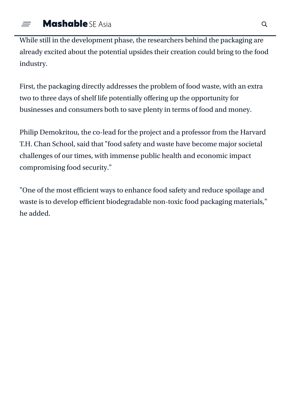While still in the development phase, the researchers behind the packaging are already excited about the potential upsides their creation could bring to the food industry.

First, the packaging directly addresses the problem of food waste, with an extra two to three days of shelf life potentially offering up the opportunity for businesses and consumers both to save plenty in terms of food and money.

Philip Demokritou, the co-lead for the project and a professor from the Harvard T.H. Chan School, said that "food safety and waste have become major societal challenges of our times, with immense public health and economic impact compromising food security."

"One of the most efficient ways to enhance food safety and reduce spoilage and waste is to develop efficient biodegradable non-toxic food packaging materials," he added.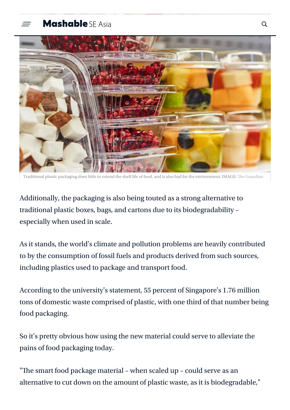## **Mashable** SF Asia



Traditional plastic packaging does little to extend the shelf life of food, and is also bad for the environment. IMAGE: The [Guardian](https://www.theguardian.com/us-news/2019/may/28/plastics-toxic-america-chemicals-packaging)

Additionally, the packaging is also being touted as a strong alternative to traditional plastic boxes, bags, and cartons due to its biodegradability – especially when used in scale.

As it stands, the world's climate and pollution problems are heavily contributed to by the consumption of fossil fuels and products derived from such sources, including plastics used to package and transport food.

According to the university's statement, 55 percent of Singapore's 1.76 million tons of domestic waste comprised of plastic, with one third of that number being food packaging.

So it's pretty obvious how using the new material could serve to alleviate the pains of food packaging today.

"The smart food package material – when scaled up – could serve as an alternative to cut down on the amount of plastic waste, as it is biodegradable,"